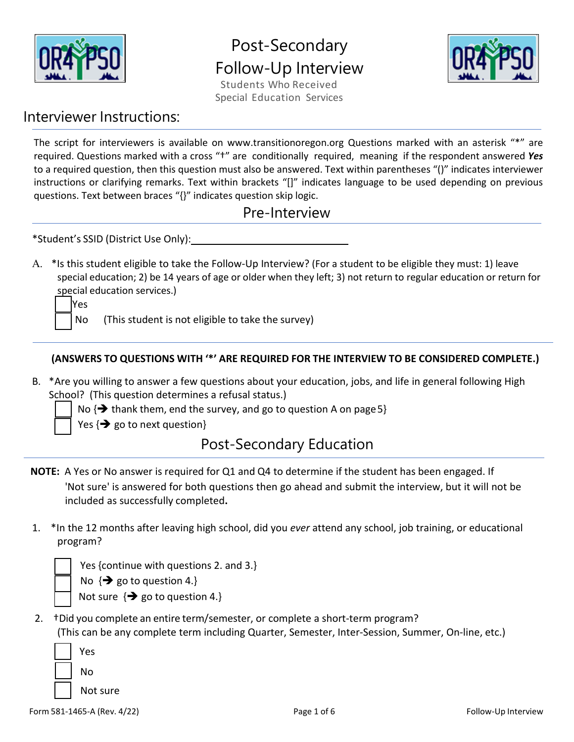

# Post-Secondary Follow-Up Interview

Students Who Received Special Education Services



### Interviewer Instructions:

The script for interviewers is available on www.transitionoregon.org Questions marked with an asterisk "\*" are required. Questions marked with a cross "†" are conditionally required, meaning if the respondent answered *Yes*  to a required question, then this question must also be answered. Text within parentheses "()" indicates interviewer instructions or clarifying remarks. Text within brackets "[]" indicates language to be used depending on previous questions. Text between braces "{}" indicates question skip logic.

|  | Pre-Interview |
|--|---------------|
|--|---------------|

\*Student's SSID (District Use Only):

A. \*Is this student eligible to take the Follow-Up Interview? (For a student to be eligible they must: 1) leave special education; 2) be 14 years of age or older when they left; 3) not return to regular education or return for special education services.)

Yes

No (This student is not eligible to take the survey)

#### **(ANSWERS TO QUESTIONS WITH '\*' ARE REQUIRED FOR THE INTERVIEW TO BE CONSIDERED COMPLETE.)**

B. \*Are you willing to answer a few questions about your education, jobs, and life in general following High School? (This question determines a refusal status.)

No  $\{\rightarrow\}$  thank them, end the survey, and go to question A on page 5}

Yes  $\{\rightarrow\}$  go to next question}

# Post-Secondary Education

- **NOTE:** A Yes or No answer is required for Q1 and Q4 to determine if the student has been engaged. If 'Not sure' is answered for both questions then go ahead and submit the interview, but it will not be included as successfully completed**.**
- 1. \*In the 12 months after leaving high school, did you *ever* attend any school, job training, or educational program?

Yes {continue with questions 2. and 3.}

No  $\{\rightarrow\}$  go to question 4.}

- Not sure  $\{\rightarrow\}$  go to question 4.}
- 2. †Did you complete an entire term/semester, or complete a short-term program? (This can be any complete term including Quarter, Semester, Inter-Session, Summer, On-line, etc.)

| Yes      |  |  |  |
|----------|--|--|--|
| N٥       |  |  |  |
| Not sure |  |  |  |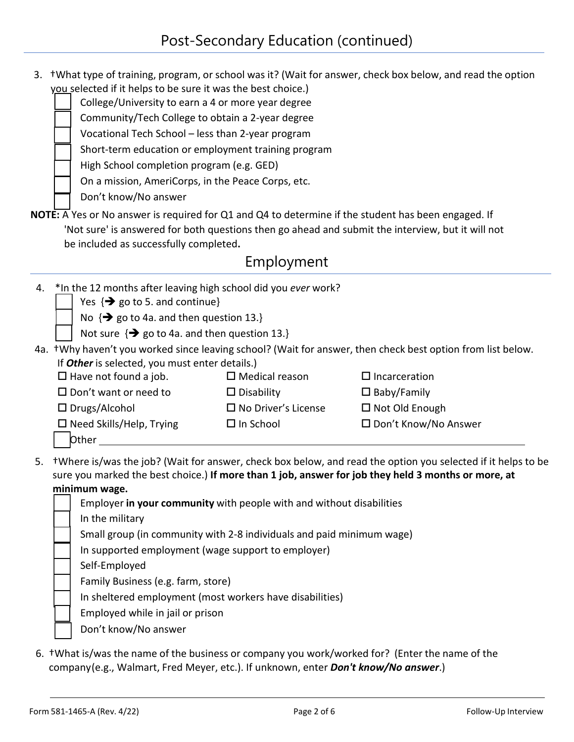|    | you selected if it helps to be sure it was the best choice.)<br>College/University to earn a 4 or more year degree<br>Community/Tech College to obtain a 2-year degree<br>Vocational Tech School - less than 2-year program<br>Short-term education or employment training program<br>High School completion program (e.g. GED)<br>On a mission, AmeriCorps, in the Peace Corps, etc.<br>Don't know/No answer |                                                                       | 3. +What type of training, program, or school was it? (Wait for answer, check box below, and read the option                                                                                                        |
|----|---------------------------------------------------------------------------------------------------------------------------------------------------------------------------------------------------------------------------------------------------------------------------------------------------------------------------------------------------------------------------------------------------------------|-----------------------------------------------------------------------|---------------------------------------------------------------------------------------------------------------------------------------------------------------------------------------------------------------------|
|    | NOTE: A Yes or No answer is required for Q1 and Q4 to determine if the student has been engaged. If                                                                                                                                                                                                                                                                                                           |                                                                       |                                                                                                                                                                                                                     |
|    |                                                                                                                                                                                                                                                                                                                                                                                                               |                                                                       | 'Not sure' is answered for both questions then go ahead and submit the interview, but it will not                                                                                                                   |
|    | be included as successfully completed.                                                                                                                                                                                                                                                                                                                                                                        |                                                                       |                                                                                                                                                                                                                     |
|    |                                                                                                                                                                                                                                                                                                                                                                                                               | Employment                                                            |                                                                                                                                                                                                                     |
| 4. | *In the 12 months after leaving high school did you ever work?<br>Yes $\{\rightarrow\}$ go to 5. and continue}<br>No $\{\rightarrow\}$ go to 4a. and then question 13.}<br>Not sure $\{\rightarrow\}$ go to 4a. and then question 13.}                                                                                                                                                                        |                                                                       |                                                                                                                                                                                                                     |
|    |                                                                                                                                                                                                                                                                                                                                                                                                               |                                                                       | 4a. +Why haven't you worked since leaving school? (Wait for answer, then check best option from list below.                                                                                                         |
|    | If Other is selected, you must enter details.)                                                                                                                                                                                                                                                                                                                                                                |                                                                       |                                                                                                                                                                                                                     |
|    | $\Box$ Have not found a job.                                                                                                                                                                                                                                                                                                                                                                                  | $\Box$ Medical reason                                                 | $\Box$ Incarceration                                                                                                                                                                                                |
|    | $\square$ Don't want or need to                                                                                                                                                                                                                                                                                                                                                                               | $\Box$ Disability                                                     | $\square$ Baby/Family                                                                                                                                                                                               |
|    | $\Box$ Drugs/Alcohol                                                                                                                                                                                                                                                                                                                                                                                          | $\Box$ No Driver's License                                            | $\Box$ Not Old Enough                                                                                                                                                                                               |
|    | $\square$ Need Skills/Help, Trying<br><b>Other</b>                                                                                                                                                                                                                                                                                                                                                            | $\Box$ In School                                                      | □ Don't Know/No Answer                                                                                                                                                                                              |
| 5. | minimum wage.                                                                                                                                                                                                                                                                                                                                                                                                 | Employer in your community with people with and without disabilities  | tWhere is/was the job? (Wait for answer, check box below, and read the option you selected if it helps to be<br>sure you marked the best choice.) If more than 1 job, answer for job they held 3 months or more, at |
|    | In the military                                                                                                                                                                                                                                                                                                                                                                                               |                                                                       |                                                                                                                                                                                                                     |
|    |                                                                                                                                                                                                                                                                                                                                                                                                               | Small group (in community with 2-8 individuals and paid minimum wage) |                                                                                                                                                                                                                     |
|    | In supported employment (wage support to employer)                                                                                                                                                                                                                                                                                                                                                            |                                                                       |                                                                                                                                                                                                                     |
|    | Self-Employed                                                                                                                                                                                                                                                                                                                                                                                                 |                                                                       |                                                                                                                                                                                                                     |
|    | Family Business (e.g. farm, store)                                                                                                                                                                                                                                                                                                                                                                            |                                                                       |                                                                                                                                                                                                                     |
|    |                                                                                                                                                                                                                                                                                                                                                                                                               | In sheltered employment (most workers have disabilities)              |                                                                                                                                                                                                                     |
|    | Employed while in jail or prison                                                                                                                                                                                                                                                                                                                                                                              |                                                                       |                                                                                                                                                                                                                     |
|    | Don't know/No answer                                                                                                                                                                                                                                                                                                                                                                                          |                                                                       |                                                                                                                                                                                                                     |
|    |                                                                                                                                                                                                                                                                                                                                                                                                               |                                                                       |                                                                                                                                                                                                                     |
|    |                                                                                                                                                                                                                                                                                                                                                                                                               |                                                                       |                                                                                                                                                                                                                     |

6. †What is/was the name of the business or company you work/worked for? (Enter the name of the company (e.g., Walmart, Fred Meyer, etc.). If unknown, enter *Don't know/No answer*.)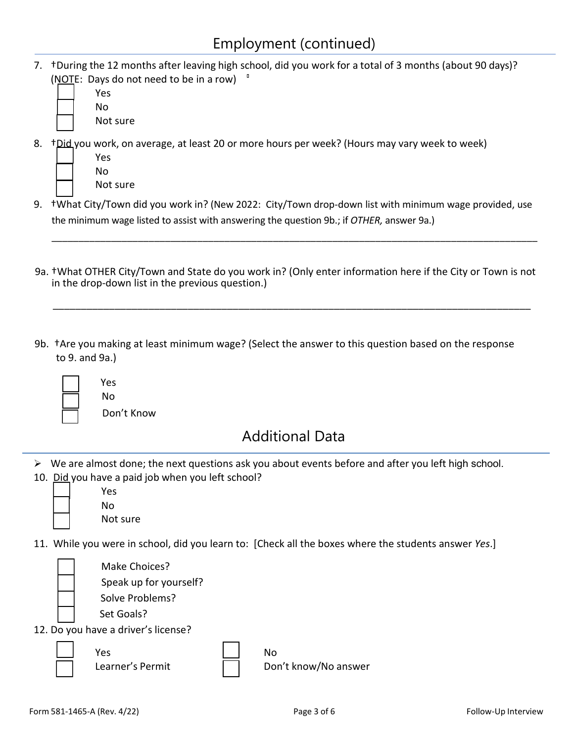7. †During the 12 months after leaving high school, did you work for a total of 3 months (about 90 days)? (NOTE: Days do not need to be in a row)

| Yes      |
|----------|
| N٥       |
| Not sure |

8. †Did you work, on average, at least 20 or more hours per week? (Hours may vary week to week)

| Yes      |
|----------|
| N٥       |
| Not sure |

9. †What City/Town did you work in? (New 2022: City/Town drop-down list with minimum wage provided, use the minimum wage listed to assist with answering the question 9b.; if *OTHER,* answer 9a.)

\_\_\_\_\_\_\_\_\_\_\_\_\_\_\_\_\_\_\_\_\_\_\_\_\_\_\_\_\_\_\_\_\_\_\_\_\_\_\_\_\_\_\_\_\_\_\_\_\_\_\_\_\_\_\_\_\_\_\_\_\_\_\_\_\_\_\_\_\_\_\_\_\_\_\_\_\_\_\_\_\_\_\_\_\_\_\_\_\_\_

9a. †What OTHER City/Town and State do you work in? (Only enter information here if the City or Town is not in the drop-down list in the previous question.)

\_\_\_\_\_\_\_\_\_\_\_\_\_\_\_\_\_\_\_\_\_\_\_\_\_\_\_\_\_\_\_\_\_\_\_\_\_\_\_\_\_\_\_\_\_\_\_\_\_\_\_\_\_\_\_\_\_\_\_\_\_\_\_\_\_\_\_\_\_\_\_\_\_\_\_\_\_\_\_\_\_\_\_\_\_

9b. †Are you making at least minimum wage? (Select the answer to this question based on the response to 9. and 9a.)



No Don't Know

Yes

# Additional Data

- $\triangleright$  We are almost done; the next questions ask you about events before and after you left high school.
- 10. Did you have a paid job when you left school?

| Yes      |
|----------|
| N٥       |
| Not sure |

11. While you were in school, did you learn to: [Check all the boxes where the students answer *Yes*.]

i<br>L

 $\overline{\phantom{a}}$ 

 Set Goals? 12. Do you have a driver's license?

where the Second Second Second Second Second Second Second Second Second Second Second Second Second Second Se

Make Choices?

Solve Problems?

Speak up for yourself?

Learner's Permit  $\vert \vert$  Don't know/No answer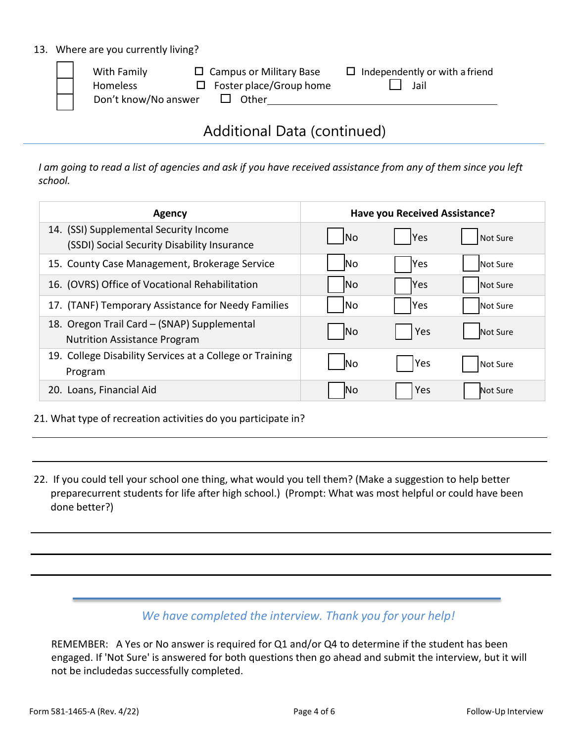#### 13. Where are you currently living?

| With Family          | $\Box$ Campus or Military Base | $\Box$ Independently or with a friend |
|----------------------|--------------------------------|---------------------------------------|
| Homeless             | $\Box$ Foster place/Group home | Jail                                  |
| Don't know/No answer | Other                          |                                       |
|                      |                                |                                       |

## Additional Data (continued)

*I am going to read a list of agencies and ask if you have received assistance from any of them since you left school.*

| Agency                                                                                |            | Have you Received Assistance? |                 |
|---------------------------------------------------------------------------------------|------------|-------------------------------|-----------------|
| 14. (SSI) Supplemental Security Income<br>(SSDI) Social Security Disability Insurance | <b>No</b>  | <b>Yes</b>                    | Not Sure        |
| 15. County Case Management, Brokerage Service                                         | <b>No</b>  | Yes                           | Not Sure        |
| 16. (OVRS) Office of Vocational Rehabilitation                                        | lNo        | lYes                          | Not Sure        |
| 17. (TANF) Temporary Assistance for Needy Families                                    | lNo        | lYes                          | Not Sure        |
| 18. Oregon Trail Card - (SNAP) Supplemental<br><b>Nutrition Assistance Program</b>    | <b>No</b>  | Yes                           | <b>Not Sure</b> |
| 19. College Disability Services at a College or Training<br>Program                   | <b>INo</b> | <b>Yes</b>                    | Not Sure        |
| 20. Loans, Financial Aid                                                              | ΙNο        | Yes                           | Not Sure        |

#### 21. What type of recreation activities do you participate in?

22. If you could tell your school one thing, what would you tell them? (Make a suggestion to help better preparecurrent students for life after high school.) (Prompt: What was most helpful or could have been done better?)

### *We have completed the interview. Thank you for your help!*

REMEMBER: A Yes or No answer is required for Q1 and/or Q4 to determine if the student has been engaged. If 'Not Sure' is answered for both questions then go ahead and submit the interview, but it will not be includedas successfully completed.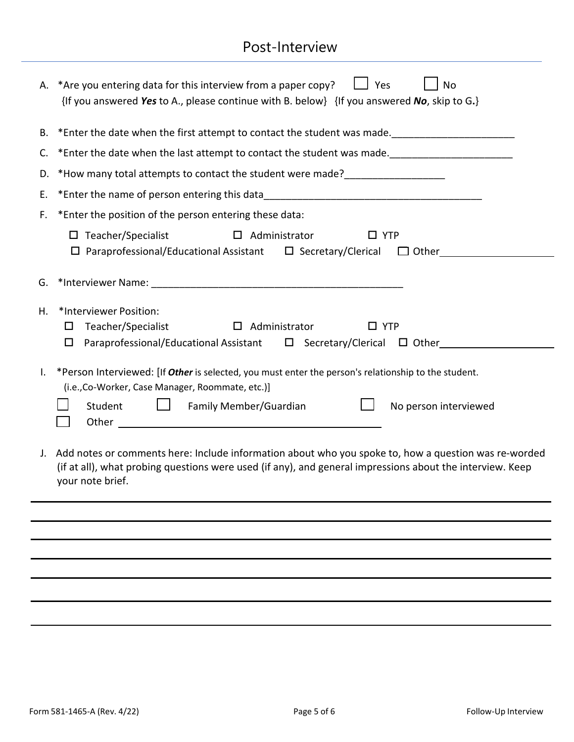# Post-Interview

|                | A. * Are you entering data for this interview from a paper copy?<br>Yes<br><b>No</b><br>$\{$ If you answered Yes to A., please continue with B. below $\}$ $\{$ If you answered No, skip to G. $\}$                              |
|----------------|----------------------------------------------------------------------------------------------------------------------------------------------------------------------------------------------------------------------------------|
|                | B. *Enter the date when the first attempt to contact the student was made.                                                                                                                                                       |
|                |                                                                                                                                                                                                                                  |
|                | D. *How many total attempts to contact the student were made?___________________                                                                                                                                                 |
|                | E. *Enter the name of person entering this data__________________________________                                                                                                                                                |
|                | F. * Enter the position of the person entering these data:                                                                                                                                                                       |
|                | $\Box$ Teacher/Specialist<br>$\Box$ Administrator<br>$\Box$ YTP<br>$\Box$ Paraprofessional/Educational Assistant $\Box$ Secretary/Clerical $\Box$ Other                                                                          |
|                |                                                                                                                                                                                                                                  |
| Η.             | *Interviewer Position:<br>Teacher/Specialist<br>$\Box$ Administrator<br>$\Box$ YTP<br>$\Box$<br>Paraprofessional/Educational Assistant $\Box$ Secretary/Clerical $\Box$ Other<br>$\Box$                                          |
| $\mathbf{I}$ . | *Person Interviewed: [If Other is selected, you must enter the person's relationship to the student.<br>(i.e., Co-Worker, Case Manager, Roommate, etc.)]<br>Family Member/Guardian<br>Student<br>No person interviewed<br>$\Box$ |
|                | J. Add notes or comments here: Include information about who you spoke to, how a question was re-worded<br>(if at all), what probing questions were used (if any), and general impressions about the interview. Keep             |

your note brief.